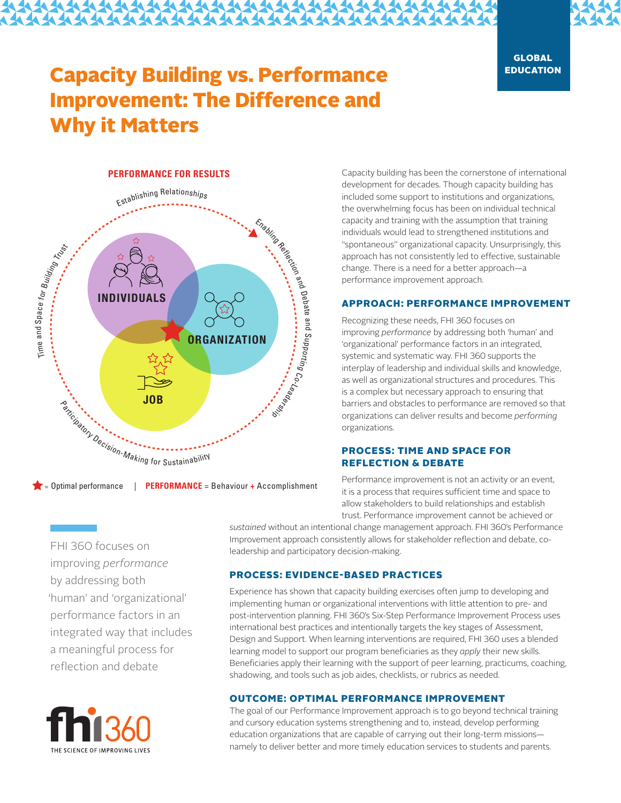# Capacity Building vs. Performance Improvement: The Difference and Why it Matters

# **PERFORMANCE FOR RESULTS**



= Optimal performance **PERFORMANCE** = Behaviour **+** Accomplishment

FHI 360 focuses on improving *performance* by addressing both 'human' and 'organizational' performance factors in an integrated way that includes a meaningful process for reflection and debate



Capacity building has been the cornerstone of international development for decades. Though capacity building has included some support to institutions and organizations, the overwhelming focus has been on individual technical capacity and training with the assumption that training individuals would lead to strengthened institutions and "spontaneous" organizational capacity. Unsurprisingly, this approach has not consistently led to effective, sustainable change. There is a need for a better approach—a performance improvement approach.

## APPROACH: PERFORMANCE IMPROVEMENT

Recognizing these needs, FHI 360 focuses on improving *performance* by addressing both 'human' and 'organizational' performance factors in an integrated, systemic and systematic way. FHI 360 supports the interplay of leadership and individual skills and knowledge, as well as organizational structures and procedures. This is a complex but necessary approach to ensuring that barriers and obstacles to performance are removed so that organizations can deliver results and become *performing* organizations.

# PROCESS: TIME AND SPACE FOR REFLECTION & DEBATE

Performance improvement is not an activity or an event, it is a process that requires sufficient time and space to allow stakeholders to build relationships and establish trust. Performance improvement cannot be achieved or

*sustained* without an intentional change management approach. FHI 360's Performance Improvement approach consistently allows for stakeholder reflection and debate, coleadership and participatory decision-making.

# PROCESS: EVIDENCE-BASED PRACTICES

Experience has shown that capacity building exercises often jump to developing and implementing human or organizational interventions with little attention to pre- and post-intervention planning. FHI 360's Six-Step Performance Improvement Process uses international best practices and intentionally targets the key stages of Assessment, Design and Support. When learning interventions are required, FHI 360 uses a blended learning model to support our program beneficiaries as they *apply* their new skills. Beneficiaries apply their learning with the support of peer learning, practicums, coaching, shadowing, and tools such as job aides, checklists, or rubrics as needed.

## OUTCOME: OPTIMAL PERFORMANCE IMPROVEMENT

The goal of our Performance Improvement approach is to go beyond technical training and cursory education systems strengthening and to, instead, develop performing education organizations that are capable of carrying out their long-term missions namely to deliver better and more timely education services to students and parents.